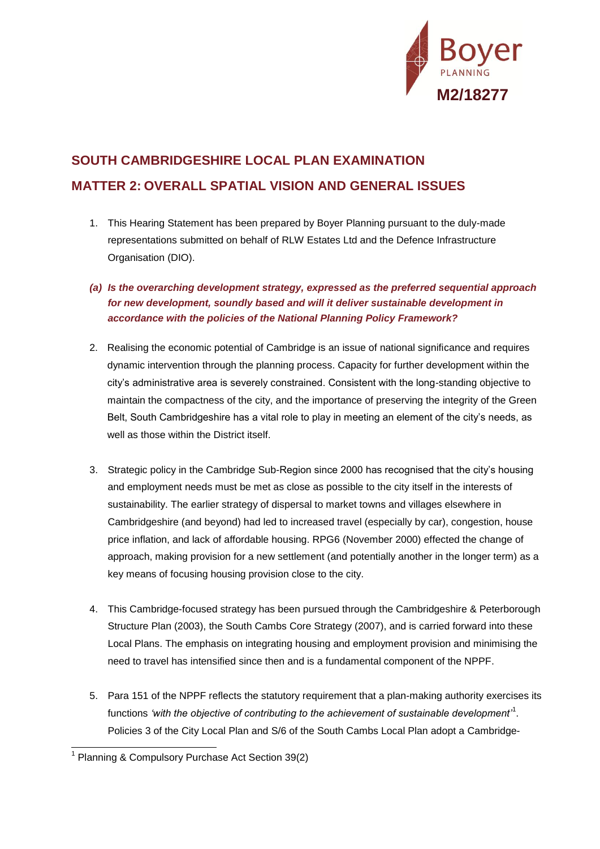

## **SOUTH CAMBRIDGESHIRE LOCAL PLAN EXAMINATION MATTER 2: OVERALL SPATIAL VISION AND GENERAL ISSUES**

- 1. This Hearing Statement has been prepared by Boyer Planning pursuant to the duly-made representations submitted on behalf of RLW Estates Ltd and the Defence Infrastructure Organisation (DIO).
- *(a) Is the overarching development strategy, expressed as the preferred sequential approach for new development, soundly based and will it deliver sustainable development in accordance with the policies of the National Planning Policy Framework?*
- 2. Realising the economic potential of Cambridge is an issue of national significance and requires dynamic intervention through the planning process. Capacity for further development within the city's administrative area is severely constrained. Consistent with the long-standing objective to maintain the compactness of the city, and the importance of preserving the integrity of the Green Belt, South Cambridgeshire has a vital role to play in meeting an element of the city's needs, as well as those within the District itself.
- 3. Strategic policy in the Cambridge Sub-Region since 2000 has recognised that the city's housing and employment needs must be met as close as possible to the city itself in the interests of sustainability. The earlier strategy of dispersal to market towns and villages elsewhere in Cambridgeshire (and beyond) had led to increased travel (especially by car), congestion, house price inflation, and lack of affordable housing. RPG6 (November 2000) effected the change of approach, making provision for a new settlement (and potentially another in the longer term) as a key means of focusing housing provision close to the city.
- 4. This Cambridge-focused strategy has been pursued through the Cambridgeshire & Peterborough Structure Plan (2003), the South Cambs Core Strategy (2007), and is carried forward into these Local Plans. The emphasis on integrating housing and employment provision and minimising the need to travel has intensified since then and is a fundamental component of the NPPF.
- 5. Para 151 of the NPPF reflects the statutory requirement that a plan-making authority exercises its functions *'with the objective of contributing to the achievement of sustainable development'*<sup>1</sup> . Policies 3 of the City Local Plan and S/6 of the South Cambs Local Plan adopt a Cambridge-

l

<sup>&</sup>lt;sup>1</sup> Planning & Compulsory Purchase Act Section 39(2)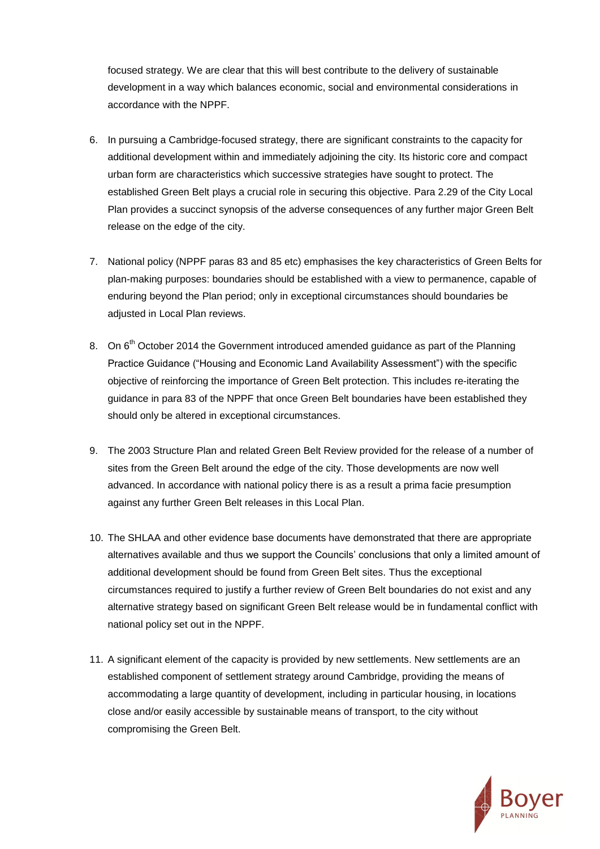focused strategy. We are clear that this will best contribute to the delivery of sustainable development in a way which balances economic, social and environmental considerations in accordance with the NPPF.

- 6. In pursuing a Cambridge-focused strategy, there are significant constraints to the capacity for additional development within and immediately adjoining the city. Its historic core and compact urban form are characteristics which successive strategies have sought to protect. The established Green Belt plays a crucial role in securing this objective. Para 2.29 of the City Local Plan provides a succinct synopsis of the adverse consequences of any further major Green Belt release on the edge of the city.
- 7. National policy (NPPF paras 83 and 85 etc) emphasises the key characteristics of Green Belts for plan-making purposes: boundaries should be established with a view to permanence, capable of enduring beyond the Plan period; only in exceptional circumstances should boundaries be adjusted in Local Plan reviews.
- 8. On 6<sup>th</sup> October 2014 the Government introduced amended guidance as part of the Planning Practice Guidance ("Housing and Economic Land Availability Assessment") with the specific objective of reinforcing the importance of Green Belt protection. This includes re-iterating the guidance in para 83 of the NPPF that once Green Belt boundaries have been established they should only be altered in exceptional circumstances.
- 9. The 2003 Structure Plan and related Green Belt Review provided for the release of a number of sites from the Green Belt around the edge of the city. Those developments are now well advanced. In accordance with national policy there is as a result a prima facie presumption against any further Green Belt releases in this Local Plan.
- 10. The SHLAA and other evidence base documents have demonstrated that there are appropriate alternatives available and thus we support the Councils' conclusions that only a limited amount of additional development should be found from Green Belt sites. Thus the exceptional circumstances required to justify a further review of Green Belt boundaries do not exist and any alternative strategy based on significant Green Belt release would be in fundamental conflict with national policy set out in the NPPF.
- 11. A significant element of the capacity is provided by new settlements. New settlements are an established component of settlement strategy around Cambridge, providing the means of accommodating a large quantity of development, including in particular housing, in locations close and/or easily accessible by sustainable means of transport, to the city without compromising the Green Belt.

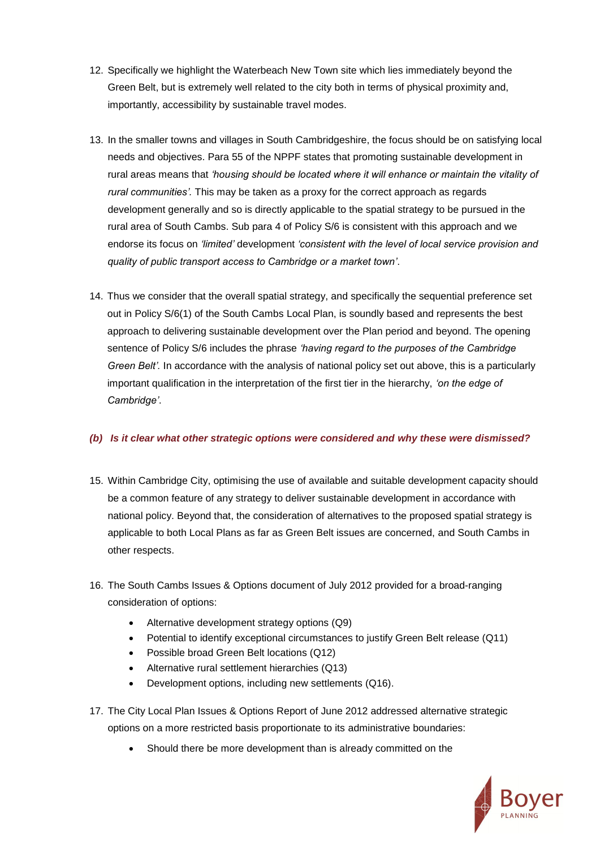- 12. Specifically we highlight the Waterbeach New Town site which lies immediately beyond the Green Belt, but is extremely well related to the city both in terms of physical proximity and, importantly, accessibility by sustainable travel modes.
- 13. In the smaller towns and villages in South Cambridgeshire, the focus should be on satisfying local needs and objectives. Para 55 of the NPPF states that promoting sustainable development in rural areas means that *'housing should be located where it will enhance or maintain the vitality of rural communities'.* This may be taken as a proxy for the correct approach as regards development generally and so is directly applicable to the spatial strategy to be pursued in the rural area of South Cambs. Sub para 4 of Policy S/6 is consistent with this approach and we endorse its focus on *'limited'* development *'consistent with the level of local service provision and quality of public transport access to Cambridge or a market town'*.
- 14. Thus we consider that the overall spatial strategy, and specifically the sequential preference set out in Policy S/6(1) of the South Cambs Local Plan, is soundly based and represents the best approach to delivering sustainable development over the Plan period and beyond. The opening sentence of Policy S/6 includes the phrase *'having regard to the purposes of the Cambridge Green Belt'.* In accordance with the analysis of national policy set out above, this is a particularly important qualification in the interpretation of the first tier in the hierarchy, *'on the edge of Cambridge'*.

## *(b) Is it clear what other strategic options were considered and why these were dismissed?*

- 15. Within Cambridge City, optimising the use of available and suitable development capacity should be a common feature of any strategy to deliver sustainable development in accordance with national policy. Beyond that, the consideration of alternatives to the proposed spatial strategy is applicable to both Local Plans as far as Green Belt issues are concerned, and South Cambs in other respects.
- 16. The South Cambs Issues & Options document of July 2012 provided for a broad-ranging consideration of options:
	- Alternative development strategy options (Q9)
	- Potential to identify exceptional circumstances to justify Green Belt release (Q11)
	- Possible broad Green Belt locations (Q12)
	- Alternative rural settlement hierarchies (Q13)
	- Development options, including new settlements (Q16).
- 17. The City Local Plan Issues & Options Report of June 2012 addressed alternative strategic options on a more restricted basis proportionate to its administrative boundaries:
	- Should there be more development than is already committed on the